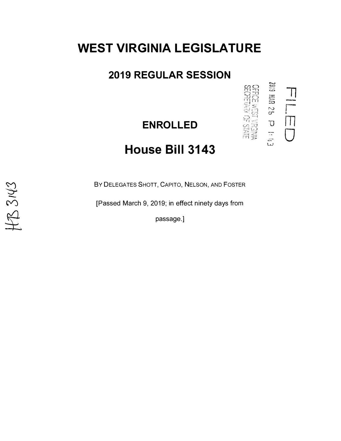# **WEST VIRGINIA LEGISLATURE**

### **2019 REGULAR SESSION**

### **ENROLLED**

 $\frac{1}{2}$ 

**THE AND HOME**<br>DEED WARD OF STATE

# **House Bill 3143**

BY DELEGATES SHOTT, CAPITO, NELSON, AND FOSTER

[Passed March 9, 2019; in effect ninety days from

passage.]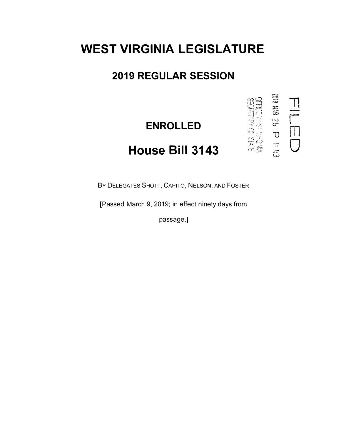## **WEST VIRGINIA LEGISLATURE**

### 2019 REGULAR SESSION

**ENROLLED** 

**ENDS 30 AURILE**<br>ENDER 193M

# House Bill 3143

BY DELEGATES SHOTT, CAPITO, NELSON, AND FOSTER

[Passed March 9, 2019; in effect ninety days from

passage.]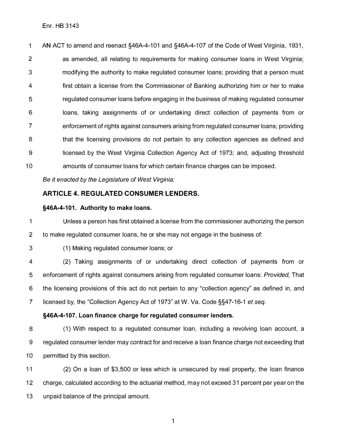1 AN ACT to amend and reenact §46A-4-101 and §46A-4-107 of the Code of West Virginia, 1931, 2 as amended, all relating to requirements for making consumer loans in West Virginia; 3 modifying the authority to make regulated consumer loans; providing that a person must 4 first obtain a license from the Commissioner of Banking authorizing him or her to make 5 regulated consumer loans before engaging in the business of making regulated consumer 6 loans, taking assignments of or undertaking direct collection of payments from or 7 enforcement of rights against consumers arising from regulated consumer loans; providing 8 that the licensing provisions do not pertain to any collection agencies as defined and 9 licensed by the West Virginia Collection Agency Act of 1973; and, adjusting threshold 10 amounts of consumer loans for which certain finance charges can be imposed.

*Be it enacted by the Legislature of West Virginia:* 

#### **ARTICLE 4. REGULATED CONSUMER LENDERS.**

#### **§46A-4-101. Authority to make loans.**

1 Unless a person has first obtained a license from the commissioner authorizing the person 2 to make regulated consumer loans, he or she may not engage in the business of:

3 (1) Making regulated consumer loans; or

4 (2) Taking assignments of or undertaking direct collection of payments from or 5 enforcement of rights against consumers arising from regulated consumer loans: *Provided,* That 6 the licensing provisions of this act do not pertain to any "collection agency" as defined in, and 7 licensed by, the "Collection Agency Act of 1973" at W. Va. Code §§47-16-1 *et seq.* 

#### **§46A-4-107. Loan finance charge for regulated consumer lenders.**

8 (1) With respect to a regulated consumer loan, including a revolving loan account, a 9 regulated consumer lender may contract for and receive a loan finance charge not exceeding that 10 permitted by this section.

11 (2) On a loan of \$3,500 or less which is unsecured by real property, the loan finance 12 charge, calculated according to the actuarial method, may not exceed 31 percent per year on the 13 unpaid balance of the principal amount.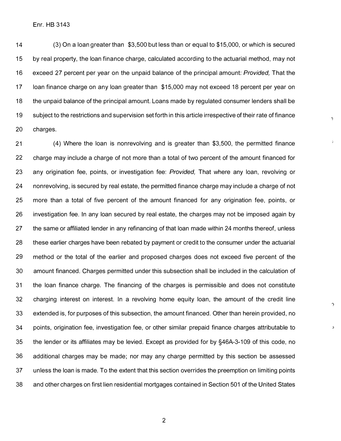Enr. HB 3143

14 (3) On a loan greater than \$3,500 but less than or equal to \$15,000, or which is secured 15 by real property, the loan finance charge, calculated according to the actuarial method, may not 16 exceed 27 percent per year on the unpaid balance of the principal amount: *Provided,* That the 17 loan finance charge on any loan greater than \$15,000 may not exceed 18 percent per year on 18 the unpaid balance of the principal amount. Loans made by regulated consumer lenders shall be 19 subject to the restrictions and supervision set forth in this article irrespective of their rate of finance 20 charges.

þ

 $\hat{\boldsymbol{J}}$ 

 $\gamma$ 

21 (4) Where the loan is nonrevolving and is greater than \$3,500, the permitted finance 22 charge may include a charge of not more than a total of two percent of the amount financed for 23 any origination fee, points, or investigation fee: *Provided,* That where any loan, revolving or 24 nonrevolving, is secured by real estate, the permitted finance charge may include a charge of not 25 more than a total of five percent of the amount financed for any origination fee, points, or 26 investigation fee. In any loan secured by real estate, the charges may not be imposed again by 27 the same or affiliated lender in any refinancing of that loan made within 24 months thereof, unless 28 these earlier charges have been rebated by payment or credit to the consumer under the actuarial 29 method or the total of the earlier and proposed charges does not exceed five percent of the 30 amount financed. Charges permitted under this subsection shall be included in the calculation of 31 the loan finance charge. The financing of the charges is permissible and does not constitute 32 charging interest on interest. In a revolving home equity loan, the amount of the credit line 33 extended is, for purposes of this subsection, the amount financed. Other than herein provided, no 34 points, origination fee, investigation fee, or other similar prepaid finance charges attributable to 35 the lender or its affiliates may be levied. Except as provided for by §46A-3-109 of this code, no 36 additional charges may be made; nor may any charge permitted by this section be assessed 37 unless the loan is made. To the extent that this section overrides the preemption on limiting points 38 and other charges on first lien residential mortgages contained in Section 501 of the United States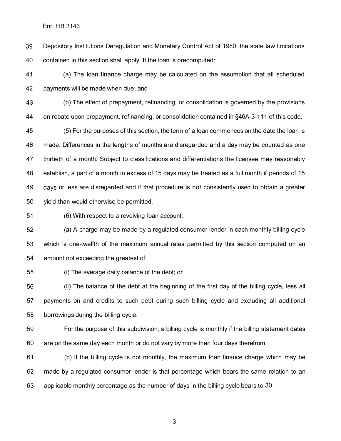Enr. HB 3143

39 Depository Institutions Deregulation and Monetary Control Act of 1980, the state law limitations 40 contained in this section shall apply. If the loan is precomputed:

41 (a) The loan finance charge may be calculated on the assumption that all scheduled 42 payments will be made when due; and

43 (b) The effect of prepayment, refinancing, or consolidation is governed by the provisions 44 on rebate upon prepayment, refinancing, or consolidation contained in §46A-3-111 of this code.

45 (5) For the purposes of this section, the term of a loan commences on the date the loan is 46 made. Differences in the lengths of months are disregarded and a day may be counted as one 47 thirtieth of a month. Subject to classifications and differentiations the licensee may reasonably 48 establish, a part of a month in excess of 15 days may be treated as a full month if periods of 15 49 days or less are disregarded and if that procedure is not consistently used to obtain a greater 50 yield than would otherwise be permitted.

51 (6) With respect to a revolving loan account:

52 (a) A charge may be made by a regulated consumer lender in each monthly billing cycle 53 which is one-twelfth of the maximum annual rates permitted by this section computed on an 54 amount not exceeding the greatest of:

55 (i) The average daily balance of the debt; or

56 (ii) The balance of the debt at the beginning of the first day of the billing cycle, less all 57 payments on and credits to such debt during such billing cycle and excluding all additional 58 borrowings during the billing cycle.

59 For the purpose of this subdivision, a billing cycle is monthly if the billing statement dates 60 are on the same day each month or do not vary by more than four days therefrom.

61 (b) If the billing cycle is not monthly, the maximum loan finance charge which may be 62 made by a regulated consumer lender is that percentage which bears the same relation to an 63 applicable monthly percentage as the number of days in the billing cycle bears to 30.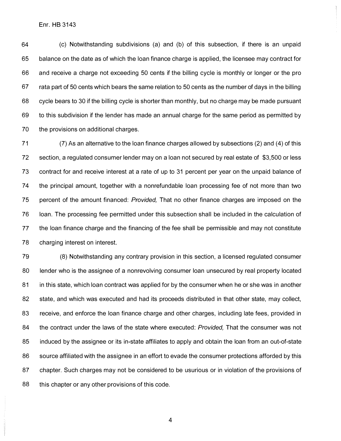Enr. HB 3143

64 (c) Notwithstanding subdivisions (a) and (b) of this subsection, if there is an unpaid 65 balance on the date as of which the loan finance charge is applied, the licensee may contract for 66 and receive a charge not exceeding 50 cents if the billing cycle is monthly or longer or the pro 67 rata part of 50 cents which bears the same relation to 50 cents as the number of days in the billing 68 cycle bears to 30 if the billing cycle is shorter than monthly, but no charge may be made pursuant 69 to this subdivision if the lender has made an annual charge for the same period as permitted by 70 the provisions on additional charges.

71 (7) As an alternative to the loan finance charges allowed by subsections (2) and (4) of this 72 section, a regulated consumer lender may on a loan not secured by real estate of \$3,500 or less 73 contract for and receive interest at a rate of up to 31 percent per year on the unpaid balance of 74 the principal amount, together with a nonrefundable loan processing fee of not more than two 75 percent of the amount financed: *Provided,* That no other finance charges are imposed on the 76 loan. The processing fee permitted under this subsection shall be included in the calculation of 77 the loan finance charge and the financing of the fee shall be permissible and may not constitute 78 charging interest on interest.

79 (8) Notwithstanding any contrary provision in this section, a licensed regulated consumer 80 lender who is the assignee of a nonrevolving consumer loan unsecured by real property located 81 in this state, which loan contract was applied for by the consumer when he or she was in another 82 state, and which was executed and had its proceeds distributed in that other state, may collect, 83 receive, and enforce the loan finance charge and other charges, including late fees, provided in 84 the contract under the laws of the state where executed: *Provided,* That the consumer was not 85 induced by the assignee or its in-state affiliates to apply and obtain the loan from an out-of-state 86 source affiliated with the assignee in an effort to evade the consumer protections afforded by this 87 chapter. Such charges may not be considered to be usurious or in violation of the provisions of 88 this chapter or any other provisions of this code.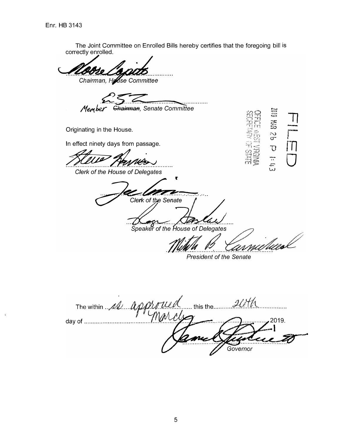The Joint Committee on Enrolled Bills hereby certifies that the foregoing bill is correctly enrolled. Chairman, House Committee Chairman, Senate Committee Member **Q2 USE 010** Originating in the House. In effect ninety days from passage.  $\bigcup$  $\frac{11}{25}$ ' TV Clerk of the House of Delegates Clerk of the Senate Speaker of the House of Delegates Meal **President of the Senate** ... this the  $\mathcal{H}$ The within 11 Approxy  $\dddotsc$ 2019. day of ........................... Governor

 $\overline{5}$